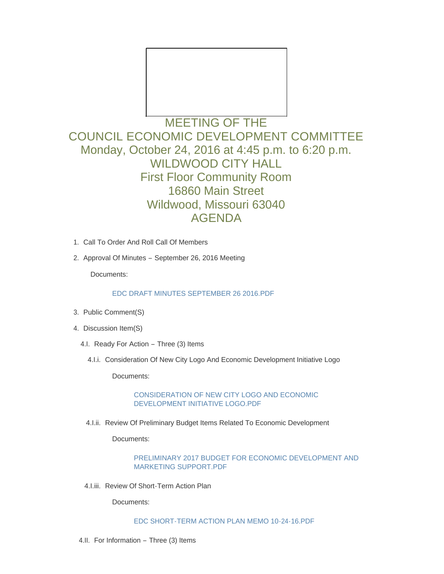

## MEETING OF THE COUNCIL ECONOMIC DEVELOPMENT COMMITTEE Monday, October 24, 2016 at 4:45 p.m. to 6:20 p.m. WILDWOOD CITY HALL First Floor Community Room 16860 Main Street Wildwood, Missouri 63040 AGENDA

- 1. Call To Order And Roll Call Of Members
- 2. Approval Of Minutes September 26, 2016 Meeting

Documents:

## [EDC DRAFT MINUTES SEPTEMBER 26 2016.PDF](http://mo-wildwood.civicplus.com/AgendaCenter/ViewFile/Item/8639?fileID=12852)

- 3. Public Comment(S)
- 4. Discussion Item(S)
	- 4.I. Ready For Action Three (3) Items
		- 4.I.i. Consideration Of New City Logo And Economic Development Initiative Logo

Documents:

[CONSIDERATION OF NEW CITY LOGO AND ECONOMIC](http://mo-wildwood.civicplus.com/AgendaCenter/ViewFile/Item/8643?fileID=12853)  DEVELOPMENT INITIATIVE LOGO.PDF

4.I.ii. Review Of Preliminary Budget Items Related To Economic Development

Documents:

[PRELIMINARY 2017 BUDGET FOR ECONOMIC DEVELOPMENT AND](http://mo-wildwood.civicplus.com/AgendaCenter/ViewFile/Item/8644?fileID=12854)  MARKETING SUPPORT.PDF

4.I.iii. Review Of Short-Term Action Plan

Documents:

[EDC SHORT-TERM ACTION PLAN MEMO 10-24-16.PDF](http://mo-wildwood.civicplus.com/AgendaCenter/ViewFile/Item/8645?fileID=12855)

4.II. For Information – Three (3) Items